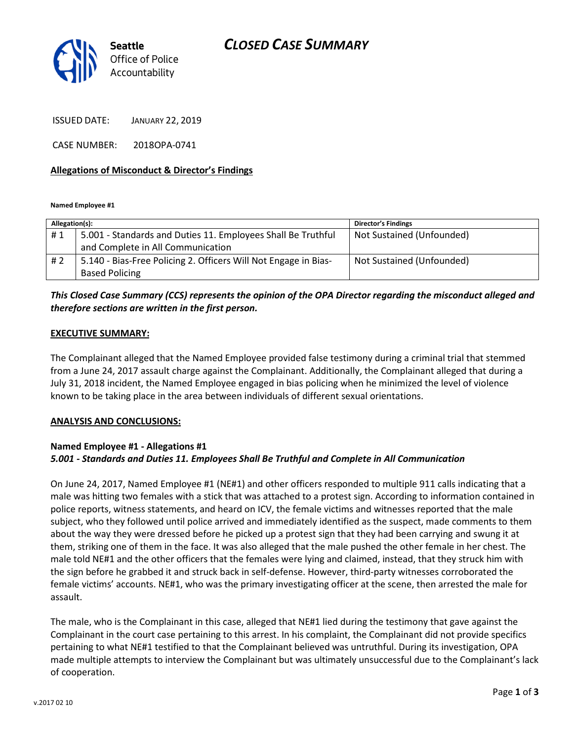# CLOSED CASE SUMMARY



ISSUED DATE: JANUARY 22, 2019

CASE NUMBER: 2018OPA-0741

### Allegations of Misconduct & Director's Findings

Named Employee #1

| Allegation(s): |                                                                 | <b>Director's Findings</b> |
|----------------|-----------------------------------------------------------------|----------------------------|
| #1             | 5.001 - Standards and Duties 11. Employees Shall Be Truthful    | Not Sustained (Unfounded)  |
|                | and Complete in All Communication                               |                            |
| #2             | 5.140 - Bias-Free Policing 2. Officers Will Not Engage in Bias- | Not Sustained (Unfounded)  |
|                | <b>Based Policing</b>                                           |                            |

### This Closed Case Summary (CCS) represents the opinion of the OPA Director regarding the misconduct alleged and therefore sections are written in the first person.

#### EXECUTIVE SUMMARY:

The Complainant alleged that the Named Employee provided false testimony during a criminal trial that stemmed from a June 24, 2017 assault charge against the Complainant. Additionally, the Complainant alleged that during a July 31, 2018 incident, the Named Employee engaged in bias policing when he minimized the level of violence known to be taking place in the area between individuals of different sexual orientations.

### ANALYSIS AND CONCLUSIONS:

### Named Employee #1 - Allegations #1 5.001 - Standards and Duties 11. Employees Shall Be Truthful and Complete in All Communication

On June 24, 2017, Named Employee #1 (NE#1) and other officers responded to multiple 911 calls indicating that a male was hitting two females with a stick that was attached to a protest sign. According to information contained in police reports, witness statements, and heard on ICV, the female victims and witnesses reported that the male subject, who they followed until police arrived and immediately identified as the suspect, made comments to them about the way they were dressed before he picked up a protest sign that they had been carrying and swung it at them, striking one of them in the face. It was also alleged that the male pushed the other female in her chest. The male told NE#1 and the other officers that the females were lying and claimed, instead, that they struck him with the sign before he grabbed it and struck back in self-defense. However, third-party witnesses corroborated the female victims' accounts. NE#1, who was the primary investigating officer at the scene, then arrested the male for assault.

The male, who is the Complainant in this case, alleged that NE#1 lied during the testimony that gave against the Complainant in the court case pertaining to this arrest. In his complaint, the Complainant did not provide specifics pertaining to what NE#1 testified to that the Complainant believed was untruthful. During its investigation, OPA made multiple attempts to interview the Complainant but was ultimately unsuccessful due to the Complainant's lack of cooperation.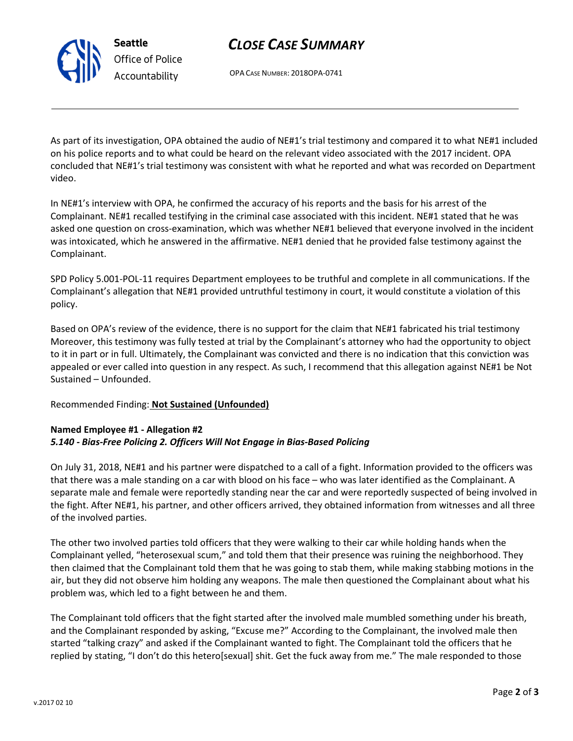# CLOSE CASE SUMMARY

OPA CASE NUMBER: 2018OPA-0741

As part of its investigation, OPA obtained the audio of NE#1's trial testimony and compared it to what NE#1 included on his police reports and to what could be heard on the relevant video associated with the 2017 incident. OPA concluded that NE#1's trial testimony was consistent with what he reported and what was recorded on Department video.

In NE#1's interview with OPA, he confirmed the accuracy of his reports and the basis for his arrest of the Complainant. NE#1 recalled testifying in the criminal case associated with this incident. NE#1 stated that he was asked one question on cross-examination, which was whether NE#1 believed that everyone involved in the incident was intoxicated, which he answered in the affirmative. NE#1 denied that he provided false testimony against the Complainant.

SPD Policy 5.001-POL-11 requires Department employees to be truthful and complete in all communications. If the Complainant's allegation that NE#1 provided untruthful testimony in court, it would constitute a violation of this policy.

Based on OPA's review of the evidence, there is no support for the claim that NE#1 fabricated his trial testimony Moreover, this testimony was fully tested at trial by the Complainant's attorney who had the opportunity to object to it in part or in full. Ultimately, the Complainant was convicted and there is no indication that this conviction was appealed or ever called into question in any respect. As such, I recommend that this allegation against NE#1 be Not Sustained – Unfounded.

### Recommended Finding: Not Sustained (Unfounded)

### Named Employee #1 - Allegation #2 5.140 - Bias-Free Policing 2. Officers Will Not Engage in Bias-Based Policing

On July 31, 2018, NE#1 and his partner were dispatched to a call of a fight. Information provided to the officers was that there was a male standing on a car with blood on his face – who was later identified as the Complainant. A separate male and female were reportedly standing near the car and were reportedly suspected of being involved in the fight. After NE#1, his partner, and other officers arrived, they obtained information from witnesses and all three of the involved parties.

The other two involved parties told officers that they were walking to their car while holding hands when the Complainant yelled, "heterosexual scum," and told them that their presence was ruining the neighborhood. They then claimed that the Complainant told them that he was going to stab them, while making stabbing motions in the air, but they did not observe him holding any weapons. The male then questioned the Complainant about what his problem was, which led to a fight between he and them.

The Complainant told officers that the fight started after the involved male mumbled something under his breath, and the Complainant responded by asking, "Excuse me?" According to the Complainant, the involved male then started "talking crazy" and asked if the Complainant wanted to fight. The Complainant told the officers that he replied by stating, "I don't do this hetero[sexual] shit. Get the fuck away from me." The male responded to those



Seattle Office of Police Accountability